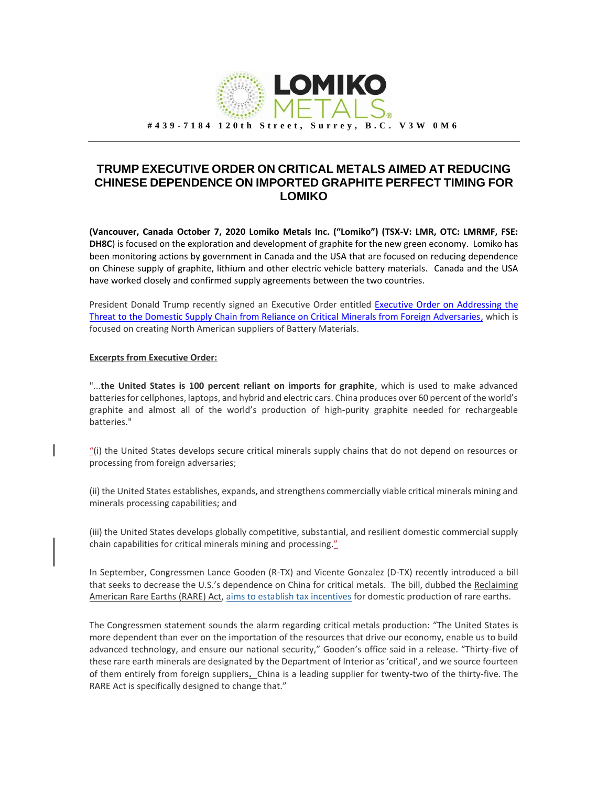

## **TRUMP EXECUTIVE ORDER ON CRITICAL METALS AIMED AT REDUCING CHINESE DEPENDENCE ON IMPORTED GRAPHITE PERFECT TIMING FOR LOMIKO**

**(Vancouver, Canada October 7, 2020 Lomiko Metals Inc. ("Lomiko") (TSX-V: LMR, OTC: LMRMF, FSE: DH8C**) is focused on the exploration and development of graphite for the new green economy. Lomiko has been monitoring actions by government in Canada and the USA that are focused on reducing dependence on Chinese supply of graphite, lithium and other electric vehicle battery materials. Canada and the USA have worked closely and confirmed supply agreements between the two countries.

President Donald Trump recently signed an Executive Order entitled Executive Order on Addressing the [Threat to the Domestic Supply Chain from Reliance on Critical Minerals from Foreign Adversaries,](https://www.whitehouse.gov/presidential-actions/executive-order-addressing-threat-domestic-supply-chain-reliance-critical-minerals-foreign-adversaries/?fbclid=IwAR0vkfCpQ1IhCHgqnqnpodHhDzJ83LtIB48zQdIqCVyhyqo9pGbFTiyV3tg) which is focused on creating North American suppliers of Battery Materials.

## **Excerpts from Executive Order:**

"...**the United States is 100 percent reliant on imports for graphite**, which is used to make advanced batteries for cellphones, laptops, and hybrid and electric cars. China produces over 60 percent of the world's graphite and almost all of the world's production of high-purity graphite needed for rechargeable batteries."

"(i) the United States develops secure critical minerals supply chains that do not depend on resources or processing from foreign adversaries;

(ii) the United States establishes, expands, and strengthens commercially viable critical minerals mining and minerals processing capabilities; and

(iii) the United States develops globally competitive, substantial, and resilient domestic commercial supply chain capabilities for critical minerals mining and processing."

In September, Congressmen Lance Gooden (R-TX) and Vicente Gonzalez (D-TX) recently introduced a bill that seeks to decrease the U.S.'s dependence on China for critical metals. The bill, dubbed the Reclaiming American Rare Earths (RARE) Act, [aims to establish tax incentives](https://gooden.house.gov/RAREAct) for domestic production of rare earths.

The Congressmen statement sounds the alarm regarding critical metals production: "The United States is more dependent than ever on the importation of the resources that drive our economy, enable us to build advanced technology, and ensure our national security," Gooden's office said in a release. "Thirty-five of these rare earth minerals are designated by the Department of Interior as 'critical', and we source fourteen of them entirely from foreign suppliers**.** China is a leading supplier for twenty-two of the thirty-five. The RARE Act is specifically designed to change that."